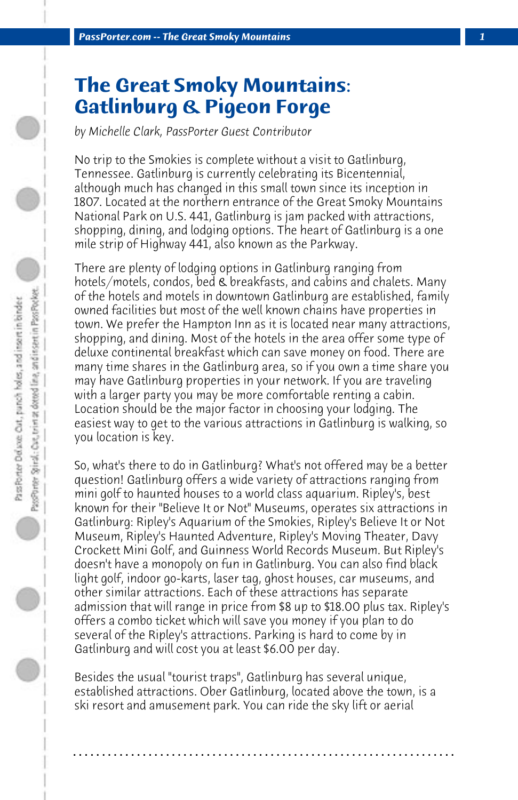## **The Great Smoky Mountains: Gatlinburg & Pigeon Forge**

*by Michelle Clark, PassPorter Guest Contributor*

No trip to the Smokies is complete without a visit to Gatlinburg, Tennessee. Gatlinburg is currently celebrating its Bicentennial, although much has changed in this small town since its inception in 1807. Located at the northern entrance of the Great Smoky Mountains National Park on U.S. 441, Gatlinburg is jam packed with attractions, shopping, dining, and lodging options. The heart of Gatlinburg is a one mile strip of Highway 441, also known as the Parkway.

There are plenty of lodging options in Gatlinburg ranging from hotels/motels, condos, bed & breakfasts, and cabins and chalets. Many of the hotels and motels in downtown Gatlinburg are established, family owned facilities but most of the well known chains have properties in town. We prefer the Hampton Inn as it is located near many attractions, shopping, and dining. Most of the hotels in the area offer some type of deluxe continental breakfast which can save money on food. There are many time shares in the Gatlinburg area, so if you own a time share you may have Gatlinburg properties in your network. If you are traveling with a larger party you may be more comfortable renting a cabin. Location should be the major factor in choosing your lodging. The easiest way to get to the various attractions in Gatlinburg is walking, so you location is key.

So, what's there to do in Gatlinburg? What's not offered may be a better question! Gatlinburg offers a wide variety of attractions ranging from mini golf to haunted houses to a world class aquarium. Ripley's, best known for their "Believe It or Not" Museums, operates six attractions in Gatlinburg: Ripley's Aquarium of the Smokies, Ripley's Believe It or Not Museum, Ripley's Haunted Adventure, Ripley's Moving Theater, Davy Crockett Mini Golf, and Guinness World Records Museum. But Ripley's doesn't have a monopoly on fun in Gatlinburg. You can also find black light golf, indoor go-karts, laser tag, ghost houses, car museums, and other similar attractions. Each of these attractions has separate admission that will range in price from \$8 up to \$18.00 plus tax. Ripley's offers a combo ticket which will save you money if you plan to do several of the Ripley's attractions. Parking is hard to come by in Gatlinburg and will cost you at least \$6.00 per day.

Besides the usual "tourist traps", Gatlinburg has several unique, established attractions. Ober Gatlinburg, located above the town, is a ski resort and amusement park. You can ride the sky lift or aerial

**. . . . . . . . . . . . . . . . . . . . . . . . . . . . . . . . . . . . . . . . . . . . . . . . . . . . . . . . . . . . . . . . . .**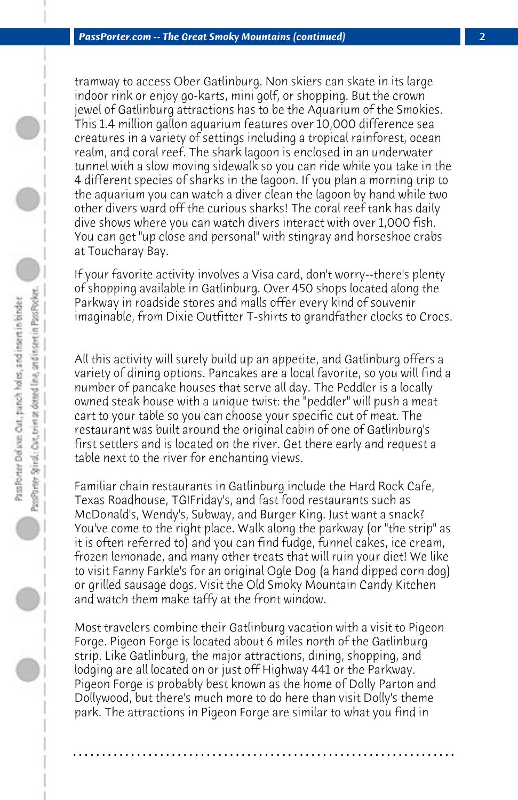tramway to access Ober Gatlinburg. Non skiers can skate in its large indoor rink or enjoy go-karts, mini golf, or shopping. But the crown jewel of Gatlinburg attractions has to be the Aquarium of the Smokies. This 1.4 million gallon aquarium features over 10,000 difference sea creatures in a variety of settings including a tropical rainforest, ocean realm, and coral reef. The shark lagoon is enclosed in an underwater tunnel with a slow moving sidewalk so you can ride while you take in the 4 different species of sharks in the lagoon. If you plan a morning trip to the aquarium you can watch a diver clean the lagoon by hand while two other divers ward off the curious sharks! The coral reef tank has daily dive shows where you can watch divers interact with over 1,000 fish. You can get "up close and personal" with stingray and horseshoe crabs at Toucharay Bay.

If your favorite activity involves a Visa card, don't worry--there's plenty of shopping available in Gatlinburg. Over 450 shops located along the Parkway in roadside stores and malls offer every kind of souvenir imaginable, from Dixie Outfitter T-shirts to grandfather clocks to Crocs.

All this activity will surely build up an appetite, and Gatlinburg offers a variety of dining options. Pancakes are a local favorite, so you will find a number of pancake houses that serve all day. The Peddler is a locally owned steak house with a unique twist: the "peddler" will push a meat cart to your table so you can choose your specific cut of meat. The restaurant was built around the original cabin of one of Gatlinburg's first settlers and is located on the river. Get there early and request a table next to the river for enchanting views.

Familiar chain restaurants in Gatlinburg include the Hard Rock Cafe, Texas Roadhouse, TGIFriday's, and fast food restaurants such as McDonald's, Wendy's, Subway, and Burger King. Just want a snack? You've come to the right place. Walk along the parkway (or "the strip" as it is often referred to) and you can find fudge, funnel cakes, ice cream, frozen lemonade, and many other treats that will ruin your diet! We like to visit Fanny Farkle's for an original Ogle Dog (a hand dipped corn dog) or grilled sausage dogs. Visit the Old Smoky Mountain Candy Kitchen and watch them make taffy at the front window.

Most travelers combine their Gatlinburg vacation with a visit to Pigeon Forge. Pigeon Forge is located about 6 miles north of the Gatlinburg strip. Like Gatlinburg, the major attractions, dining, shopping, and lodging are all located on or just off Highway 441 or the Parkway. Pigeon Forge is probably best known as the home of Dolly Parton and Dollywood, but there's much more to do here than visit Dolly's theme park. The attractions in Pigeon Forge are similar to what you find in

**. . . . . . . . . . . . . . . . . . . . . . . . . . . . . . . . . . . . . . . . . . . . . . . . . . . . . . . . . . . . . . . . . .**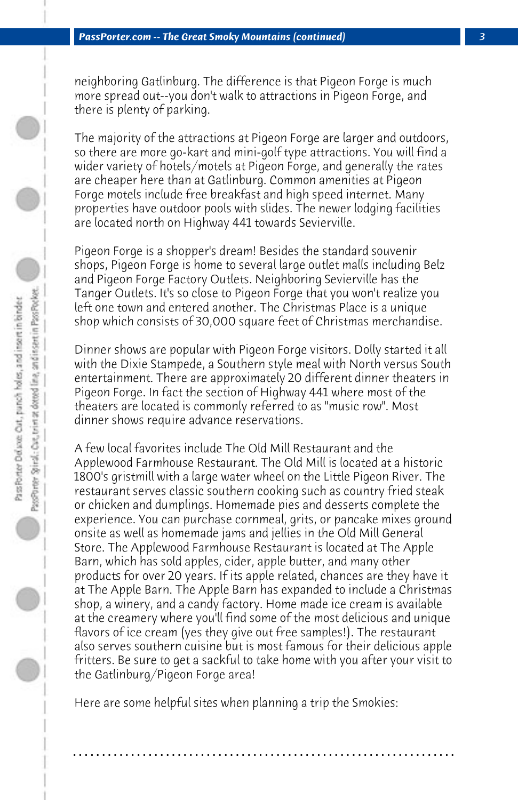neighboring Gatlinburg. The difference is that Pigeon Forge is much more spread out--you don't walk to attractions in Pigeon Forge, and there is plenty of parking.

The majority of the attractions at Pigeon Forge are larger and outdoors, so there are more go-kart and mini-golf type attractions. You will find a wider variety of hotels/motels at Pigeon Forge, and generally the rates are cheaper here than at Gatlinburg. Common amenities at Pigeon Forge motels include free breakfast and high speed internet. Many properties have outdoor pools with slides. The newer lodging facilities are located north on Highway 441 towards Sevierville.

Pigeon Forge is a shopper's dream! Besides the standard souvenir shops, Pigeon Forge is home to several large outlet malls including Belz and Pigeon Forge Factory Outlets. Neighboring Sevierville has the Tanger Outlets. It's so close to Pigeon Forge that you won't realize you left one town and entered another. The Christmas Place is a unique shop which consists of 30,000 square feet of Christmas merchandise.

Dinner shows are popular with Pigeon Forge visitors. Dolly started it all with the Dixie Stampede, a Southern style meal with North versus South entertainment. There are approximately 20 different dinner theaters in Pigeon Forge. In fact the section of Highway 441 where most of the theaters are located is commonly referred to as "music row". Most dinner shows require advance reservations.

A few local favorites include The Old Mill Restaurant and the Applewood Farmhouse Restaurant. The Old Mill is located at a historic 1800's gristmill with a large water wheel on the Little Pigeon River. The restaurant serves classic southern cooking such as country fried steak or chicken and dumplings. Homemade pies and desserts complete the experience. You can purchase cornmeal, grits, or pancake mixes ground onsite as well as homemade jams and jellies in the Old Mill General Store. The Applewood Farmhouse Restaurant is located at The Apple Barn, which has sold apples, cider, apple butter, and many other products for over 20 years. If its apple related, chances are they have it at The Apple Barn. The Apple Barn has expanded to include a Christmas shop, a winery, and a candy factory. Home made ice cream is available at the creamery where you'll find some of the most delicious and unique flavors of ice cream (yes they give out free samples!). The restaurant also serves southern cuisine but is most famous for their delicious apple fritters. Be sure to get a sackful to take home with you after your visit to the Gatlinburg/Pigeon Forge area!

Here are some helpful sites when planning a trip the Smokies:

**. . . . . . . . . . . . . . . . . . . . . . . . . . . . . . . . . . . . . . . . . . . . . . . . . . . . . . . . . . . . . . . . . .**